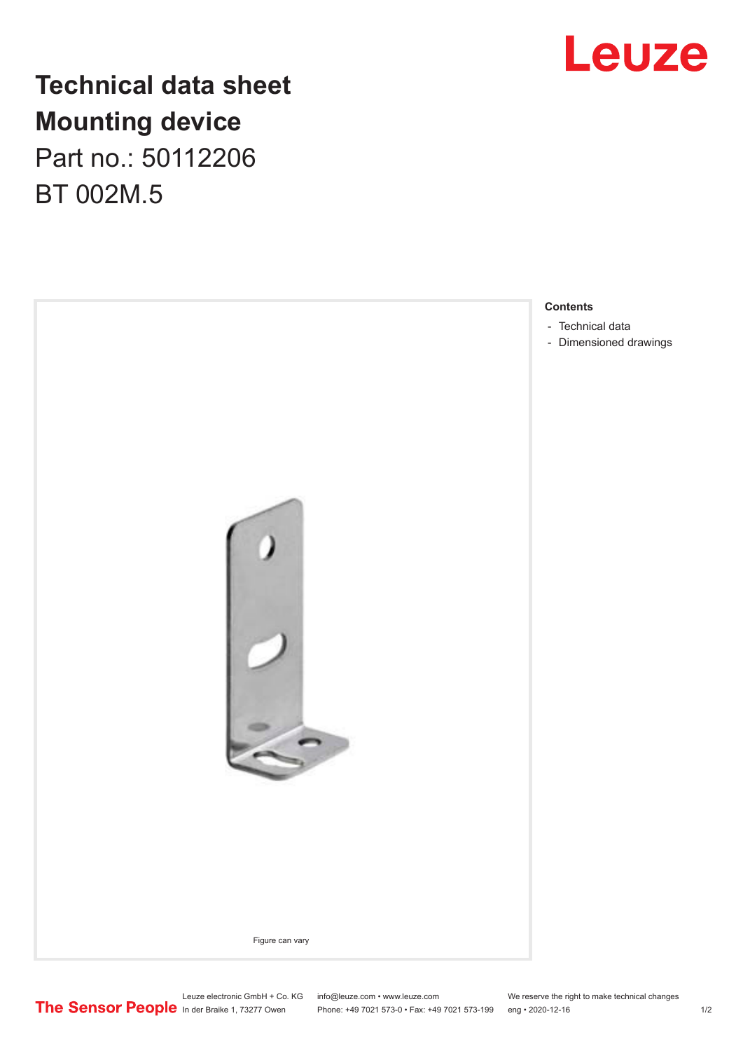

## **Technical data sheet Mounting device** Part no.: 50112206

BT 002M.5



Leuze electronic GmbH + Co. KG info@leuze.com • www.leuze.com We reserve the right to make technical changes